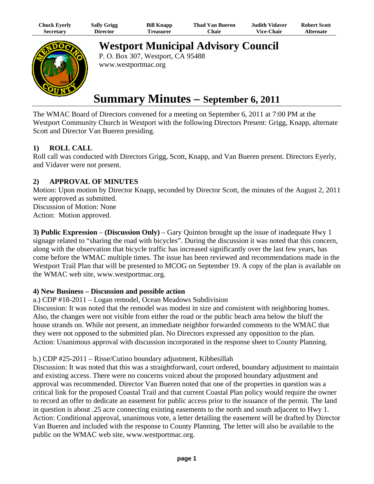| Chuck Eyerly | <b>Sally Grigg</b> | <b>Bill Knapp</b> | <b>Thad Van Bueren</b> | Judith Vidaver.   | <b>Robert Scott</b> |
|--------------|--------------------|-------------------|------------------------|-------------------|---------------------|
| Secretary    | <b>Director</b>    | l`reasurer        | Chair                  | <b>Vice-Chair</b> | <b>Alternate</b>    |



**Westport Municipal Advisory Council**

P. O. Box 307, Westport, CA 95488 www.westportmac.org

# **Summary Minutes – September 6, 2011**

The WMAC Board of Directors convened for a meeting on September 6, 2011 at 7:00 PM at the Westport Community Church in Westport with the following Directors Present: Grigg, Knapp, alternate Scott and Director Van Bueren presiding.

## **1) ROLL CALL**

Roll call was conducted with Directors Grigg, Scott, Knapp, and Van Bueren present. Directors Eyerly, and Vidaver were not present.

# **2) APPROVAL OF MINUTES**

Motion: Upon motion by Director Knapp, seconded by Director Scott, the minutes of the August 2, 2011 were approved as submitted. Discussion of Motion: None Action: Motion approved.

**3) Public Expression** – **(Discussion Only)** – Gary Quinton brought up the issue of inadequate Hwy 1 signage related to "sharing the road with bicycles". During the discussion it was noted that this concern, along with the observation that bicycle traffic has increased significantly over the last few years, has come before the WMAC multiple times. The issue has been reviewed and recommendations made in the Westport Trail Plan that will be presented to MCOG on September 19. A copy of the plan is available on the WMAC web site, www.westportmac.org.

#### **4) New Business – Discussion and possible action**

a.) CDP #18-2011 – Logan remodel, Ocean Meadows Subdivision

Discussion: It was noted that the remodel was modest in size and consistent with neighboring homes. Also, the changes were not visible from either the road or the public beach area below the bluff the house strands on. While not present, an immediate neighbor forwarded comments to the WMAC that they were not opposed to the submitted plan. No Directors expressed any opposition to the plan. Action: Unanimous approval with discussion incorporated in the response sheet to County Planning.

## b.) CDP #25-2011 – Risse/Cutino boundary adjustment, Kibbesillah

Discussion: It was noted that this was a straightforward, court ordered, boundary adjustment to maintain and existing access. There were no concerns voiced about the proposed boundary adjustment and approval was recommended. Director Van Bueren noted that one of the properties in question was a critical link for the proposed Coastal Trail and that current Coastal Plan policy would require the owner to record an offer to dedicate an easement for public access prior to the issuance of the permit. The land in question is about .25 acre connecting existing easements to the north and south adjacent to Hwy 1. Action: Conditional approval, unanimous vote, a letter detailing the easement will be drafted by Director Van Bueren and included with the response to County Planning. The letter will also be available to the public on the WMAC web site, www.westportmac.org.